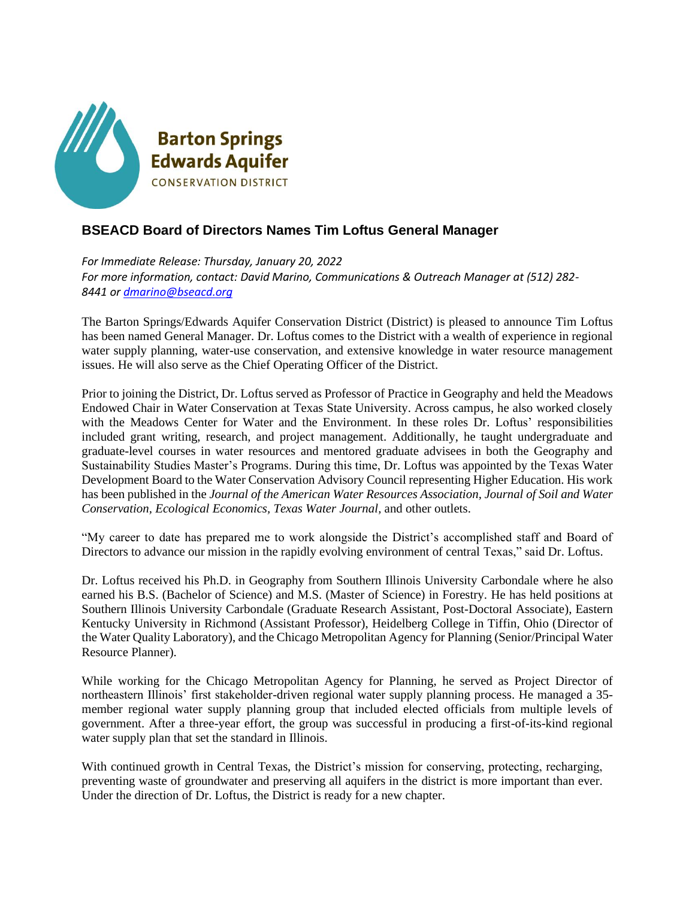

## **BSEACD Board of Directors Names Tim Loftus General Manager**

*For Immediate Release: Thursday, January 20, 2022 For more information, contact: David Marino, Communications & Outreach Manager at (512) 282- 8441 o[r dmarino@bseacd.org](mailto:dmarino@bseacd.org)*

The Barton Springs/Edwards Aquifer Conservation District (District) is pleased to announce Tim Loftus has been named General Manager. Dr. Loftus comes to the District with a wealth of experience in regional water supply planning, water-use conservation, and extensive knowledge in water resource management issues. He will also serve as the Chief Operating Officer of the District.

Prior to joining the District, Dr. Loftus served as Professor of Practice in Geography and held the Meadows Endowed Chair in Water Conservation at Texas State University. Across campus, he also worked closely with the Meadows Center for Water and the Environment. In these roles Dr. Loftus' responsibilities included grant writing, research, and project management. Additionally, he taught undergraduate and graduate-level courses in water resources and mentored graduate advisees in both the Geography and Sustainability Studies Master's Programs. During this time, Dr. Loftus was appointed by the Texas Water Development Board to the Water Conservation Advisory Council representing Higher Education. His work has been published in the *Journal of the American Water Resources Association, Journal of Soil and Water Conservation, Ecological Economics, Texas Water Journal,* and other outlets.

"My career to date has prepared me to work alongside the District's accomplished staff and Board of Directors to advance our mission in the rapidly evolving environment of central Texas," said Dr. Loftus.

Dr. Loftus received his Ph.D. in Geography from Southern Illinois University Carbondale where he also earned his B.S. (Bachelor of Science) and M.S. (Master of Science) in Forestry. He has held positions at Southern Illinois University Carbondale (Graduate Research Assistant, Post-Doctoral Associate), Eastern Kentucky University in Richmond (Assistant Professor), Heidelberg College in Tiffin, Ohio (Director of the Water Quality Laboratory), and the Chicago Metropolitan Agency for Planning (Senior/Principal Water Resource Planner).

While working for the Chicago Metropolitan Agency for Planning, he served as Project Director of northeastern Illinois' first stakeholder-driven regional water supply planning process. He managed a 35 member regional water supply planning group that included elected officials from multiple levels of government. After a three-year effort, the group was successful in producing a first-of-its-kind regional water supply plan that set the standard in Illinois.

With continued growth in Central Texas, the District's mission for conserving, protecting, recharging, preventing waste of groundwater and preserving all aquifers in the district is more important than ever. Under the direction of Dr. Loftus, the District is ready for a new chapter.